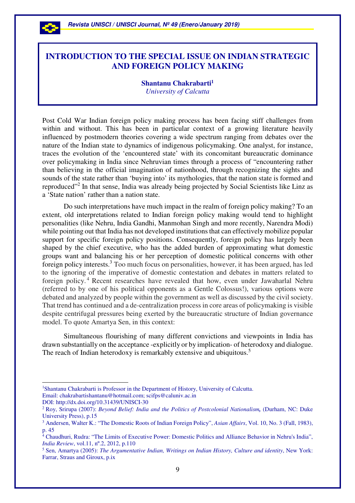

# **INTRODUCTION TO THE SPECIAL ISSUE ON INDIAN STRATEGIC AND FOREIGN POLICY MAKING**

**Shantanu Chakrabarti<sup>1</sup>** *University of Calcutta* 

Post Cold War Indian foreign policy making process has been facing stiff challenges from within and without. This has been in particular context of a growing literature heavily influenced by postmodern theories covering a wide spectrum ranging from debates over the nature of the Indian state to dynamics of indigenous policymaking. One analyst, for instance, traces the evolution of the 'encountered state' with its concomitant bureaucratic dominance over policymaking in India since Nehruvian times through a process of "encountering rather than believing in the official imagination of nationhood, through recognizing the sights and sounds of the state rather than 'buying into' its mythologies, that the nation state is formed and reproduced"<sup>2</sup> In that sense, India was already being projected by Social Scientists like Linz as a 'State nation' rather than a nation state.

Do such interpretations have much impact in the realm of foreign policy making? To an extent, old interpretations related to Indian foreign policy making would tend to highlight personalities (like Nehru, India Gandhi, Manmohan Singh and more recently, Narendra Modi) while pointing out that India has not developed institutions that can effectively mobilize popular support for specific foreign policy positions. Consequently, foreign policy has largely been shaped by the chief executive, who has the added burden of approximating what domestic groups want and balancing his or her perception of domestic political concerns with other foreign policy interests.<sup>3</sup> Too much focus on personalities, however, it has been argued, has led to the ignoring of the imperative of domestic contestation and debates in matters related to foreign policy.<sup>4</sup> Recent researches have revealed that how, even under Jawaharlal Nehru (referred to by one of his political opponents as a Gentle Colossus!), various options were debated and analyzed by people within the government as well as discussed by the civil society. That trend has continued and a de-centralization process in core areas of policymaking is visible despite centrifugal pressures being exerted by the bureaucratic structure of Indian governance model. To quote Amartya Sen, in this context:

Simultaneous flourishing of many different convictions and viewpoints in India has drawn substantially on the acceptance -explicitly or by implication- of heterodoxy and dialogue. The reach of Indian heterodoxy is remarkably extensive and ubiquitous.<sup>5</sup>

<sup>1</sup>Shantanu Chakrabarti is Professor in the Department of History, University of Calcutta. Email: chakrabartishantanu@hotmail.com; scifps@caluniv.ac.in

DOI: http://dx.doi.org/10.31439/UNISCI-30

 $\overline{a}$ 

<sup>2</sup> Roy, Srirupa (2007): *Beyond Belief: India and the Politics of Postcolonial Nationalism,* (Durham, NC: Duke University Press), p.15

<sup>3</sup> Andersen, Walter K.: "The Domestic Roots of Indian Foreign Policy", *Asian Affairs*, Vol. 10, No. 3 (Fall, 1983), p. 45

<sup>&</sup>lt;sup>4</sup> Chaudhuri, Rudra: "The Limits of Executive Power: Domestic Politics and Alliance Behavior in Nehru's India", *India Review*, vol.11, nº.2, 2012, p.110

<sup>5</sup> Sen, Amartya (2005): *The Argumentative Indian, Writings on Indian History, Culture and identity*, New York: Farrar, Straus and Giroux, p.ix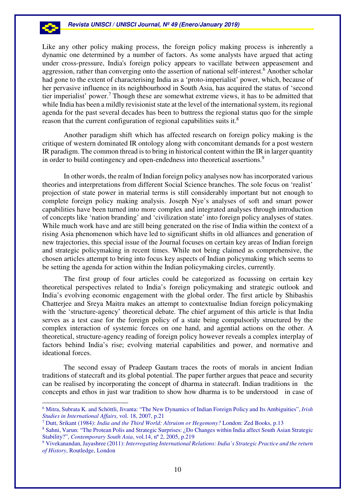Like any other policy making process, the foreign policy making process is inherently a dynamic one determined by a number of factors. As some analysts have argued that acting under cross-pressure, India's foreign policy appears to vacillate between appeasement and aggression, rather than converging onto the assertion of national self-interest.<sup>6</sup> Another scholar had gone to the extent of characterising India as a 'proto-imperialist' power, which, because of her pervasive influence in its neighbourhood in South Asia, has acquired the status of 'second tier imperialist' power.<sup>7</sup> Though these are somewhat extreme views, it has to be admitted that while India has been a mildly revisionist state at the level of the international system, its regional agenda for the past several decades has been to buttress the regional status quo for the simple reason that the current configuration of regional capabilities suits it.<sup>8</sup>

Another paradigm shift which has affected research on foreign policy making is the critique of western dominated IR ontology along with concomitant demands for a post western IR paradigm. The common thread is to bring in historical content within the IR in larger quantity in order to build contingency and open-endedness into theoretical assertions.<sup>9</sup>

In other words, the realm of Indian foreign policy analyses now has incorporated various theories and interpretations from different Social Science branches. The sole focus on 'realist' projection of state power in material terms is still considerably important but not enough to complete foreign policy making analysis. Joseph Nye's analyses of soft and smart power capabilities have been turned into more complex and integrated analyses through introduction of concepts like 'nation branding' and 'civilization state' into foreign policy analyses of states. While much work have and are still being generated on the rise of India within the context of a rising Asia phenomenon which have led to significant shifts in old alliances and generation of new trajectories, this special issue of the Journal focuses on certain key areas of Indian foreign and strategic policymaking in recent times. While not being claimed as comprehensive, the chosen articles attempt to bring into focus key aspects of Indian policymaking which seems to be setting the agenda for action within the Indian policymaking circles, currently.

The first group of four articles could be categorized as focussing on certain key theoretical perspectives related to India's foreign policymaking and strategic outlook and India's evolving economic engagement with the global order. The first article by Shibashis Chatterjee and Sreya Maitra makes an attempt to contextualise Indian foreign policymaking with the 'structure-agency' theoretical debate. The chief argument of this article is that India serves as a test case for the foreign policy of a state being compulsorily structured by the complex interaction of systemic forces on one hand, and agential actions on the other. A theoretical, structure-agency reading of foreign policy however reveals a complex interplay of factors behind India's rise; evolving material capabilities and power, and normative and ideational forces.

The second essay of Pradeep Gautam traces the roots of morals in ancient Indian traditions of statecraft and its global potential. The paper further argues that peace and security can be realised by incorporating the concept of dharma in statecraft. Indian traditions in the concepts and ethos in just war tradition to show how dharma is to be understood in case of

 $\overline{a}$ 

<sup>6</sup> Mitra, Subrata K. and Schöttli, Jivanta: "The New Dynamics of Indian Foreign Policy and Its Ambiguities", *Irish Studies in International Affairs*, vol. 18, 2007, p.21

<sup>7</sup> Dutt, Srikant (1984): *India and the Third World: Altruism or Hegemony?* London: Zed Books, p.13

<sup>8</sup> Sahni, Varun: "The Protean Polis and Strategic Surprises: ¿Do Changes within India affect South Asian Strategic Stability?", *Contemporary South Asia*, vol.14, nº 2, 2005, p.219

<sup>9</sup> Vivekanandan, Jayashree (2011): *Interrogating International Relations: India's Strategic Practice and the return of History*, Routledge, London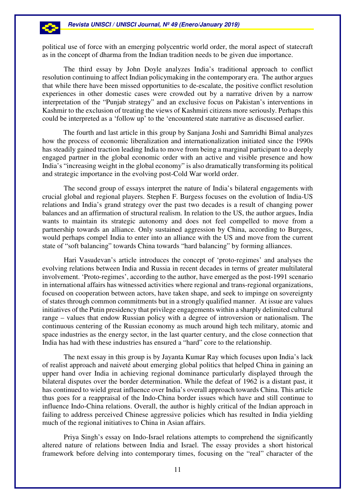political use of force with an emerging polycentric world order, the moral aspect of statecraft as in the concept of dharma from the Indian tradition needs to be given due importance.

The third essay by John Doyle analyzes India's traditional approach to conflict resolution continuing to affect Indian policymaking in the contemporary era. The author argues that while there have been missed opportunities to de-escalate, the positive conflict resolution experiences in other domestic cases were crowded out by a narrative driven by a narrow interpretation of the "Punjab strategy" and an exclusive focus on Pakistan's interventions in Kashmir to the exclusion of treating the views of Kashmiri citizens more seriously. Perhaps this could be interpreted as a 'follow up' to the 'encountered state narrative as discussed earlier.

The fourth and last article in this group by Sanjana Joshi and Samridhi Bimal analyzes how the process of economic liberalization and internationalization initiated since the 1990s has steadily gained traction leading India to move from being a marginal participant to a deeply engaged partner in the global economic order with an active and visible presence and how India's "increasing weight in the global economy" is also dramatically transforming its political and strategic importance in the evolving post-Cold War world order.

The second group of essays interpret the nature of India's bilateral engagements with crucial global and regional players. Stephen F. Burgess focuses on the evolution of India-US relations and India's grand strategy over the past two decades is a result of changing power balances and an affirmation of structural realism. In relation to the US, the author argues, India wants to maintain its strategic autonomy and does not feel compelled to move from a partnership towards an alliance. Only sustained aggression by China, according to Burgess, would perhaps compel India to enter into an alliance with the US and move from the current state of "soft balancing" towards China towards "hard balancing" by forming alliances.

Hari Vasudevan's article introduces the concept of 'proto-regimes' and analyses the evolving relations between India and Russia in recent decades in terms of greater multilateral involvement. 'Proto-regimes', according to the author, have emerged as the post-1991 scenario in international affairs has witnessed activities where regional and trans-regional organizations, focused on cooperation between actors, have taken shape, and seek to impinge on sovereignty of states through common commitments but in a strongly qualified manner. At issue are values initiatives of the Putin presidency that privilege engagements within a sharply delimited cultural range – values that endow Russian policy with a degree of introversion or nationalism. The continuous centering of the Russian economy as much around high tech military, atomic and space industries as the energy sector, in the last quarter century, and the close connection that India has had with these industries has ensured a "hard" core to the relationship.

The next essay in this group is by Jayanta Kumar Ray which focuses upon India's lack of realist approach and naiveté about emerging global politics that helped China in gaining an upper hand over India in achieving regional dominance particularly displayed through the bilateral disputes over the border determination. While the defeat of 1962 is a distant past, it has continued to wield great influence over India's overall approach towards China. This article thus goes for a reappraisal of the Indo-China border issues which have and still continue to influence Indo-China relations. Overall, the author is highly critical of the Indian approach in failing to address perceived Chinese aggressive policies which has resulted in India yielding much of the regional initiatives to China in Asian affairs.

Priya Singh's essay on Indo-Israel relations attempts to comprehend the significantly altered nature of relations between India and Israel. The essay provides a short historical framework before delving into contemporary times, focusing on the "real" character of the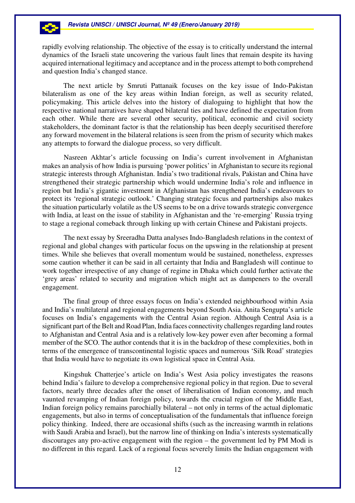-23

rapidly evolving relationship. The objective of the essay is to critically understand the internal dynamics of the Israeli state uncovering the various fault lines that remain despite its having acquired international legitimacy and acceptance and in the process attempt to both comprehend and question India's changed stance.

The next article by Smruti Pattanaik focuses on the key issue of Indo-Pakistan bilateralism as one of the key areas within Indian foreign, as well as security related, policymaking. This article delves into the history of dialoguing to highlight that how the respective national narratives have shaped bilateral ties and have defined the expectation from each other. While there are several other security, political, economic and civil society stakeholders, the dominant factor is that the relationship has been deeply securitised therefore any forward movement in the bilateral relations is seen from the prism of security which makes any attempts to forward the dialogue process, so very difficult.

Nasreen Akhtar's article focussing on India's current involvement in Afghanistan makes an analysis of how India is pursuing 'power politics' in Afghanistan to secure its regional strategic interests through Afghanistan. India's two traditional rivals, Pakistan and China have strengthened their strategic partnership which would undermine India's role and influence in region but India's gigantic investment in Afghanistan has strengthened India's endeavours to protect its 'regional strategic outlook.' Changing strategic focus and partnerships also makes the situation particularly volatile as the US seems to be on a drive towards strategic convergence with India, at least on the issue of stability in Afghanistan and the 're-emerging' Russia trying to stage a regional comeback through linking up with certain Chinese and Pakistani projects.

The next essay by Sreeradha Datta analyses Indo-Bangladesh relations in the context of regional and global changes with particular focus on the upswing in the relationship at present times. While she believes that overall momentum would be sustained, nonetheless, expresses some caution whether it can be said in all certainty that India and Bangladesh will continue to work together irrespective of any change of regime in Dhaka which could further activate the 'grey areas' related to security and migration which might act as dampeners to the overall engagement.

 The final group of three essays focus on India's extended neighbourhood within Asia and India's multilateral and regional engagements beyond South Asia. Anita Sengupta's article focuses on India's engagements with the Central Asian region. Although Central Asia is a significant part of the Belt and Road Plan, India faces connectivity challenges regarding land routes to Afghanistan and Central Asia and is a relatively low-key power even after becoming a formal member of the SCO. The author contends that it is in the backdrop of these complexities, both in terms of the emergence of transcontinental logistic spaces and numerous 'Silk Road' strategies that India would have to negotiate its own logistical space in Central Asia.

Kingshuk Chatterjee's article on India's West Asia policy investigates the reasons behind India's failure to develop a comprehensive regional policy in that region. Due to several factors, nearly three decades after the onset of liberalisation of Indian economy, and much vaunted revamping of Indian foreign policy, towards the crucial region of the Middle East, Indian foreign policy remains parochially bilateral – not only in terms of the actual diplomatic engagements, but also in terms of conceptualisation of the fundamentals that influence foreign policy thinking. Indeed, there are occasional shifts (such as the increasing warmth in relations with Saudi Arabia and Israel), but the narrow line of thinking on India's interests systematically discourages any pro-active engagement with the region – the government led by PM Modi is no different in this regard. Lack of a regional focus severely limits the Indian engagement with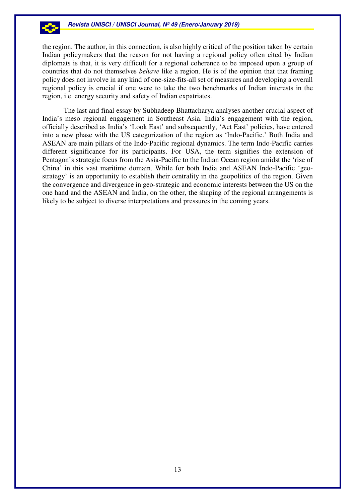the region. The author, in this connection, is also highly critical of the position taken by certain Indian policymakers that the reason for not having a regional policy often cited by Indian diplomats is that, it is very difficult for a regional coherence to be imposed upon a group of countries that do not themselves *behave* like a region. He is of the opinion that that framing policy does not involve in any kind of one-size-fits-all set of measures and developing a overall regional policy is crucial if one were to take the two benchmarks of Indian interests in the region, i.e. energy security and safety of Indian expatriates.

The last and final essay by Subhadeep Bhattacharya analyses another crucial aspect of India's meso regional engagement in Southeast Asia. India's engagement with the region, officially described as India's 'Look East' and subsequently, 'Act East' policies, have entered into a new phase with the US categorization of the region as 'Indo-Pacific.' Both India and ASEAN are main pillars of the Indo-Pacific regional dynamics. The term Indo-Pacific carries different significance for its participants. For USA, the term signifies the extension of Pentagon's strategic focus from the Asia-Pacific to the Indian Ocean region amidst the 'rise of China' in this vast maritime domain. While for both India and ASEAN Indo-Pacific 'geostrategy' is an opportunity to establish their centrality in the geopolitics of the region. Given the convergence and divergence in geo-strategic and economic interests between the US on the one hand and the ASEAN and India, on the other, the shaping of the regional arrangements is likely to be subject to diverse interpretations and pressures in the coming years.